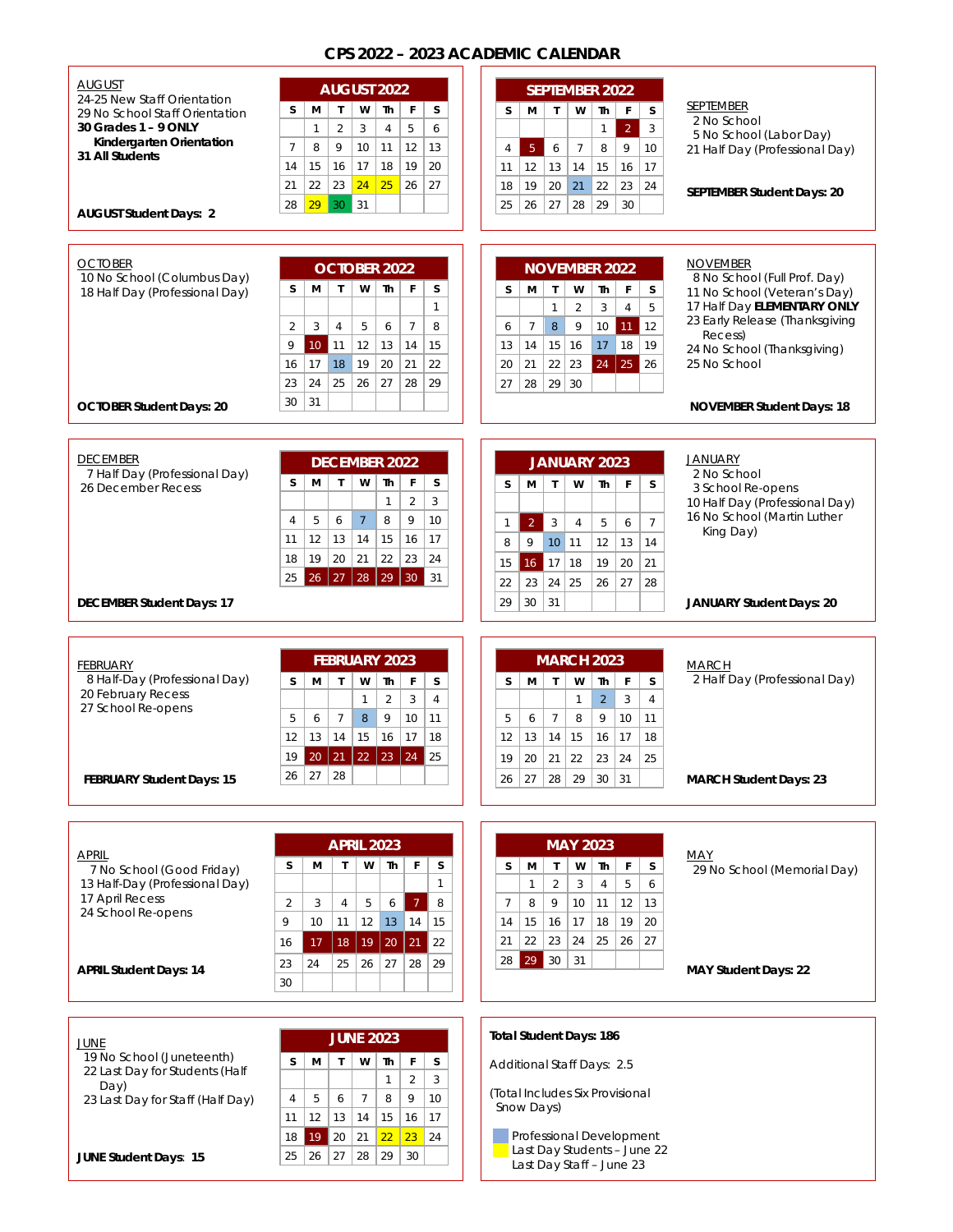## **CPS 2022 – 2023 ACADEMIC CALENDAR**

| <b>AUGUST</b>                                               | <b>AUGUST 2022</b><br><b>SEPTEMBER 2022</b>                                                                                            |                                                                       |
|-------------------------------------------------------------|----------------------------------------------------------------------------------------------------------------------------------------|-----------------------------------------------------------------------|
| 24-25 New Staff Orientation                                 |                                                                                                                                        | <b>SEPTEMBER</b>                                                      |
| 29 No School Staff Orientation                              | W<br>$\mathbf{I}$<br>W<br>Th<br>$\mathsf F$<br>S<br>м<br>$\mathsf{T}$<br>Th<br>F<br>S.<br>S<br>м                                       | s<br>2 No School                                                      |
| 30 Grades 1 - 9 ONLY<br>Kindergarten Orientation            | 5<br>$\overline{2}$<br>3<br>$\overline{2}$<br>$\overline{4}$<br>$\mathbf{1}$<br>6<br>$\mathbf{1}$                                      | 3<br>5 No School (Labor Day)                                          |
| 31 All Students                                             | 9<br>5 <sub>1</sub><br>$7\overline{ }$<br>8<br>9<br>$7\overline{ }$<br>8<br>10<br>11<br>12<br>13<br>6<br>4                             | 10<br>21 Half Day (Professional Day)                                  |
|                                                             | 15<br>16<br>17<br>18<br>19<br>14<br>20<br>13<br>15<br>16<br>11<br>12<br>14                                                             | 17                                                                    |
|                                                             | 24<br>22<br>23<br>25<br>27<br>21<br>26<br>19<br>20<br>21<br>22<br>23<br>18                                                             | 24<br>SEPTEMBER Student Days: 20                                      |
| <b>AUGUST Student Days: 2</b>                               | 29<br>29<br>30<br>31<br>27<br>28<br>28<br>25<br>26<br>30                                                                               |                                                                       |
|                                                             |                                                                                                                                        |                                                                       |
|                                                             |                                                                                                                                        |                                                                       |
| <b>OCTOBER</b>                                              | <b>OCTOBER 2022</b><br><b>NOVEMBER 2022</b>                                                                                            | <b>NOVEMBER</b>                                                       |
| 10 No School (Columbus Day)                                 | $\mathsf{T}$<br>F<br>s<br>S.<br>М<br>w<br>Th                                                                                           | 8 No School (Full Prof. Day)                                          |
| 18 Half Day (Professional Day)                              | м<br>$\mathbf{T}$<br>W<br>F<br>s<br>Th<br>$\mathbf{1}$                                                                                 | S<br>11 No School (Veteran's Day)<br>17 Half Day ELEMENTARY ONLY<br>5 |
|                                                             | $\sqrt{3}$<br>$\mathbf{1}$<br>$\overline{2}$<br>$\overline{4}$                                                                         | 23 Early Release (Thanksgiving                                        |
|                                                             | $\overline{2}$<br>3<br>5<br>$\overline{7}$<br>8<br>$\,8\,$<br>$\overline{4}$<br>6<br>$7\phantom{.0}$<br>9<br>10<br>11<br>6             | $\vert$ 12<br>Recess)                                                 |
|                                                             | 9<br>$10\,$<br>12<br>14<br>15<br>15<br>16<br>17<br>18<br>  11<br>13<br>14<br>13                                                        | 19<br>24 No School (Thanksgiving)                                     |
|                                                             | 18<br>19<br>20<br>22<br>25<br>16<br>17<br>21<br>22<br>23<br>24<br>20<br>21                                                             | 25 No School<br>126                                                   |
|                                                             | 25<br>24<br>26<br>27<br>29<br>23<br>28<br>29<br>30<br>27<br>28                                                                         |                                                                       |
| <b>OCTOBER Student Days: 20</b>                             | 31<br>30                                                                                                                               | <b>NOVEMBER Student Days: 18</b>                                      |
|                                                             |                                                                                                                                        |                                                                       |
|                                                             |                                                                                                                                        |                                                                       |
| <b>DECEMBER</b>                                             | <b>DECEMBER 2022</b><br>JANUARY 2023                                                                                                   | <b>JANUARY</b>                                                        |
| 7 Half Day (Professional Day)                               | $\mathsf{T}$<br>W<br>s<br>S<br>м<br>Th<br>F<br>W<br>м<br>$\mathsf{T}$<br>Th<br>F<br>S                                                  | 2 No School<br>S.                                                     |
| 26 December Recess                                          | $\overline{2}$<br>3<br>$\mathbf{1}$                                                                                                    | 3 School Re-opens                                                     |
|                                                             |                                                                                                                                        | 10 Half Day (Professional Day)<br>16 No School (Martin Luther         |
|                                                             | $\overline{7}$<br>9<br>5<br>6<br>8<br>10<br>$\overline{4}$<br>$\overline{2}$<br>$\sqrt{3}$<br>$\overline{4}$<br>5<br>6<br>$\mathbf{1}$ | $\overline{7}$<br>King Day)                                           |
|                                                             | 12<br>13<br>14<br>15<br>16<br>17<br>11<br>9<br>10 11<br>12<br>13<br>8                                                                  | 14                                                                    |
|                                                             | 19<br>20<br>21<br>22<br>23<br>24<br>18<br>18<br>19<br>20<br>15<br>16<br> 17                                                            | 21                                                                    |
|                                                             | 27<br>28<br>29<br>26<br>30 <sup>°</sup><br>31<br>25<br>23<br>24<br>25<br>26<br>27<br>22                                                | 28                                                                    |
| <b>DECEMBER Student Days: 17</b>                            | 30<br>31<br>29                                                                                                                         | <b>JANUARY Student Days: 20</b>                                       |
|                                                             |                                                                                                                                        |                                                                       |
|                                                             |                                                                                                                                        |                                                                       |
| <b>FEBRUARY</b>                                             | <b>MARCH 2023</b><br><b>FEBRUARY 2023</b>                                                                                              | <b>MARCH</b>                                                          |
| 8 Half-Day (Professional Day)                               | F<br>S.<br>$\mathsf{T}$<br>F<br>s<br>$\mathbf{I}$<br>W<br>Th<br>М<br>W<br>Th<br>S<br>М                                                 | 2 Half Day (Professional Day)<br>s                                    |
| 20 February Recess                                          | $\overline{2}$<br>3<br>$\overline{4}$<br>$\overline{2}$<br>3<br>$\mathbf{1}$<br>1                                                      | $\overline{4}$                                                        |
| 27 School Re-opens                                          | 9                                                                                                                                      |                                                                       |
|                                                             | $\overline{7}$<br>$\overline{7}$<br>8<br>5<br>6<br>8<br>9<br>10<br>10<br>11<br>5<br>6                                                  | 11                                                                    |
|                                                             | 13<br>14<br>15<br>12<br>16<br>17<br>18<br>12<br>14<br>15<br>16<br>17<br>13                                                             | 18                                                                    |
|                                                             | 20 21 22 23 24 25<br>19<br>20<br>21<br>22<br>23<br>19<br>24                                                                            | 25                                                                    |
| FEBRUARY Student Days: 15                                   | 28<br>27<br>26<br>28<br>29<br>30<br>31<br>26<br>27                                                                                     | <b>MARCH Student Days: 23</b>                                         |
|                                                             |                                                                                                                                        |                                                                       |
|                                                             |                                                                                                                                        |                                                                       |
|                                                             |                                                                                                                                        |                                                                       |
| <b>APRIL</b>                                                | <b>APRIL 2023</b><br><b>MAY 2023</b>                                                                                                   | <b>MAY</b>                                                            |
| 7 No School (Good Friday)                                   | F<br>s<br>s<br>М<br>T<br>w<br>Th<br>w<br>Th<br>F<br>s<br>м<br>$\mathsf{T}$                                                             | s<br>29 No School (Memorial Day)                                      |
| 13 Half-Day (Professional Day)                              | $\mathbf{1}$<br>$\overline{2}$<br>3<br>$\overline{4}$<br>5<br>1                                                                        | 6                                                                     |
| 17 April Recess<br>24 School Re-opens                       | 2<br>3<br>5<br>$7\overline{ }$<br>8<br>9<br>12<br>4<br>6<br>7<br>8<br>10<br>11                                                         | 13                                                                    |
|                                                             | 9<br>14<br>10<br>11<br>12 <sup>2</sup><br>13 <sup>°</sup><br>15<br>15<br>16<br>17<br>18<br>19<br>14                                    | 20                                                                    |
|                                                             | 22<br>23<br>24<br>25<br>26<br>21<br>21<br>22<br>17<br>18<br>20<br>16<br>19                                                             | 27                                                                    |
|                                                             | 29<br>$ 30\rangle$<br>31<br>28<br>29<br>25<br>26<br>27<br>28<br>23<br>24                                                               |                                                                       |
| <b>APRIL Student Days: 14</b>                               | 30                                                                                                                                     | <b>MAY Student Days: 22</b>                                           |
|                                                             |                                                                                                                                        |                                                                       |
|                                                             |                                                                                                                                        |                                                                       |
|                                                             | <b>Total Student Days: 186</b>                                                                                                         |                                                                       |
| JUNE                                                        | <b>JUNE 2023</b>                                                                                                                       |                                                                       |
| 19 No School (Juneteenth)<br>22 Last Day for Students (Half | s<br>W<br>F<br>s<br>м<br>$\mathsf{T}$<br>Th<br>Additional Staff Days: 2.5                                                              |                                                                       |
| Day)                                                        | 3<br>$\overline{2}$<br>1<br>sludar Civ Dr.                                                                                             |                                                                       |

23 Last Day for Staff (Half Day)

|  | <b>JUNE Student Days: 15</b> |  |  |  |
|--|------------------------------|--|--|--|
|--|------------------------------|--|--|--|

| <b>JUNE 2023</b> |    |    |              |    |    |
|------------------|----|----|--------------|----|----|
| м                | T  | W  | Th           | F  | S  |
|                  |    |    | $\mathbf{1}$ | 2  | 3  |
| 5                | 6  | 7  | 8            | 9  | 10 |
| 12               | 13 | 14 | 15           | 16 | 17 |
| 19               | 20 | 21 | 22           | 23 | 24 |
| 26               | 27 | 28 | 29           | 30 |    |
|                  |    |    |              |    |    |

(Total Includes Six Provisional Snow Days)

**Professional Development** Last Day Students - June 22 Last Day Staff – June 23